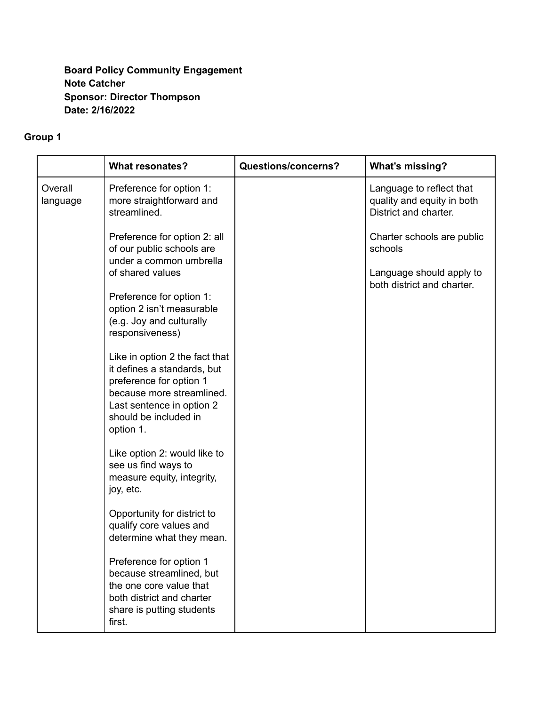### **Board Policy Community Engagement Note Catcher Sponsor: Director Thompson Date: 2/16/2022**

# **Group 1**

|                     | <b>What resonates?</b>                                                                                                                                                                   | <b>Questions/concerns?</b> | <b>What's missing?</b>                                                          |
|---------------------|------------------------------------------------------------------------------------------------------------------------------------------------------------------------------------------|----------------------------|---------------------------------------------------------------------------------|
| Overall<br>language | Preference for option 1:<br>more straightforward and<br>streamlined.                                                                                                                     |                            | Language to reflect that<br>quality and equity in both<br>District and charter. |
|                     | Preference for option 2: all<br>of our public schools are<br>under a common umbrella                                                                                                     |                            | Charter schools are public<br>schools                                           |
|                     | of shared values                                                                                                                                                                         |                            | Language should apply to<br>both district and charter.                          |
|                     | Preference for option 1:<br>option 2 isn't measurable<br>(e.g. Joy and culturally<br>responsiveness)                                                                                     |                            |                                                                                 |
|                     | Like in option 2 the fact that<br>it defines a standards, but<br>preference for option 1<br>because more streamlined.<br>Last sentence in option 2<br>should be included in<br>option 1. |                            |                                                                                 |
|                     | Like option 2: would like to<br>see us find ways to<br>measure equity, integrity,<br>joy, etc.                                                                                           |                            |                                                                                 |
|                     | Opportunity for district to<br>qualify core values and<br>determine what they mean.                                                                                                      |                            |                                                                                 |
|                     | Preference for option 1<br>because streamlined, but<br>the one core value that<br>both district and charter<br>share is putting students<br>first.                                       |                            |                                                                                 |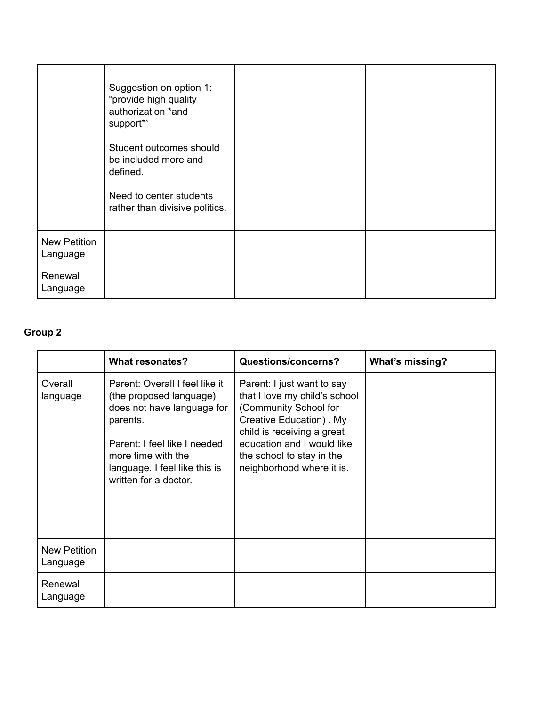|                                 | Suggestion on option 1:<br>"provide high quality<br>authorization *and<br>support*"<br>Student outcomes should<br>be included more and<br>defined.<br>Need to center students<br>rather than divisive politics. |  |
|---------------------------------|-----------------------------------------------------------------------------------------------------------------------------------------------------------------------------------------------------------------|--|
| <b>New Petition</b><br>Language |                                                                                                                                                                                                                 |  |
| Renewal<br>Language             |                                                                                                                                                                                                                 |  |

# **Group 2**

|                          | <b>What resonates?</b>                                                                                                                                                                                              | <b>Questions/concerns?</b>                                                                                                                                                                                                            | <b>What's missing?</b> |
|--------------------------|---------------------------------------------------------------------------------------------------------------------------------------------------------------------------------------------------------------------|---------------------------------------------------------------------------------------------------------------------------------------------------------------------------------------------------------------------------------------|------------------------|
| Overall<br>language      | Parent: Overall I feel like it<br>(the proposed language)<br>does not have language for<br>parents.<br>Parent: I feel like I needed<br>more time with the<br>language. I feel like this is<br>written for a doctor. | Parent: I just want to say<br>that I love my child's school<br>(Community School for<br>Creative Education). My<br>child is receiving a great<br>education and I would like<br>the school to stay in the<br>neighborhood where it is. |                        |
| New Petition<br>Language |                                                                                                                                                                                                                     |                                                                                                                                                                                                                                       |                        |
| Renewal<br>Language      |                                                                                                                                                                                                                     |                                                                                                                                                                                                                                       |                        |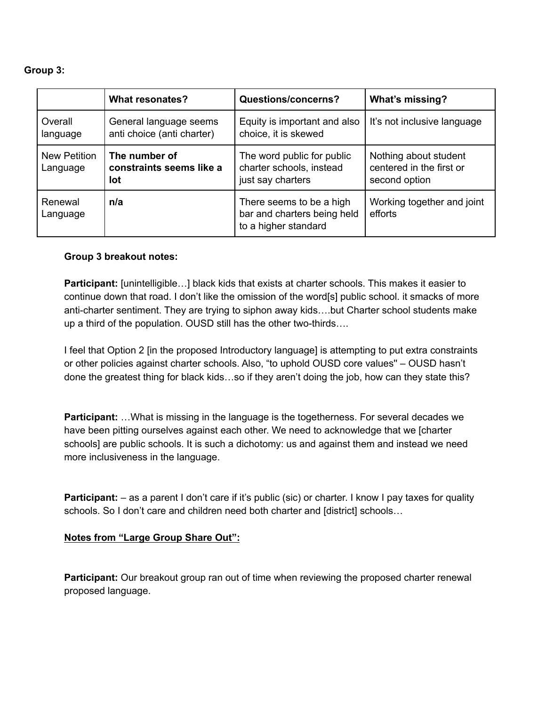### **Group 3:**

|                                 | <b>What resonates?</b>                               | <b>Questions/concerns?</b>                                                      | <b>What's missing?</b>                                             |
|---------------------------------|------------------------------------------------------|---------------------------------------------------------------------------------|--------------------------------------------------------------------|
| Overall<br>language             | General language seems<br>anti choice (anti charter) | Equity is important and also<br>choice, it is skewed                            | It's not inclusive language                                        |
| <b>New Petition</b><br>Language | The number of<br>constraints seems like a<br>lot     | The word public for public<br>charter schools, instead<br>just say charters     | Nothing about student<br>centered in the first or<br>second option |
| Renewal<br>Language             | n/a                                                  | There seems to be a high<br>bar and charters being held<br>to a higher standard | Working together and joint<br>efforts                              |

### **Group 3 breakout notes:**

**Participant:** [unintelligible…] black kids that exists at charter schools. This makes it easier to continue down that road. I don't like the omission of the word[s] public school. it smacks of more anti-charter sentiment. They are trying to siphon away kids….but Charter school students make up a third of the population. OUSD still has the other two-thirds….

I feel that Option 2 [in the proposed Introductory language] is attempting to put extra constraints or other policies against charter schools. Also, "to uphold OUSD core values'' – OUSD hasn't done the greatest thing for black kids…so if they aren't doing the job, how can they state this?

**Participant:** …What is missing in the language is the togetherness. For several decades we have been pitting ourselves against each other. We need to acknowledge that we [charter schools] are public schools. It is such a dichotomy: us and against them and instead we need more inclusiveness in the language.

**Participant:** – as a parent I don't care if it's public (sic) or charter. I know I pay taxes for quality schools. So I don't care and children need both charter and [district] schools…

### **Notes from "Large Group Share Out":**

**Participant:** Our breakout group ran out of time when reviewing the proposed charter renewal proposed language.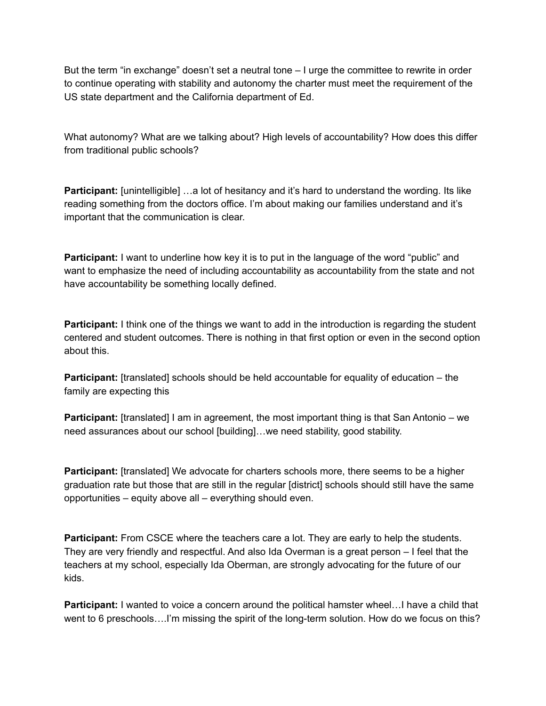But the term "in exchange" doesn't set a neutral tone – I urge the committee to rewrite in order to continue operating with stability and autonomy the charter must meet the requirement of the US state department and the California department of Ed.

What autonomy? What are we talking about? High levels of accountability? How does this differ from traditional public schools?

**Participant:** [unintelligible] ...a lot of hesitancy and it's hard to understand the wording. Its like reading something from the doctors office. I'm about making our families understand and it's important that the communication is clear.

**Participant:** I want to underline how key it is to put in the language of the word "public" and want to emphasize the need of including accountability as accountability from the state and not have accountability be something locally defined.

**Participant:** I think one of the things we want to add in the introduction is regarding the student centered and student outcomes. There is nothing in that first option or even in the second option about this.

**Participant:** [translated] schools should be held accountable for equality of education – the family are expecting this

**Participant:** [translated] I am in agreement, the most important thing is that San Antonio – we need assurances about our school [building]…we need stability, good stability.

**Participant:** [translated] We advocate for charters schools more, there seems to be a higher graduation rate but those that are still in the regular [district] schools should still have the same opportunities – equity above all – everything should even.

**Participant:** From CSCE where the teachers care a lot. They are early to help the students. They are very friendly and respectful. And also Ida Overman is a great person – I feel that the teachers at my school, especially Ida Oberman, are strongly advocating for the future of our kids.

**Participant:** I wanted to voice a concern around the political hamster wheel...I have a child that went to 6 preschools….I'm missing the spirit of the long-term solution. How do we focus on this?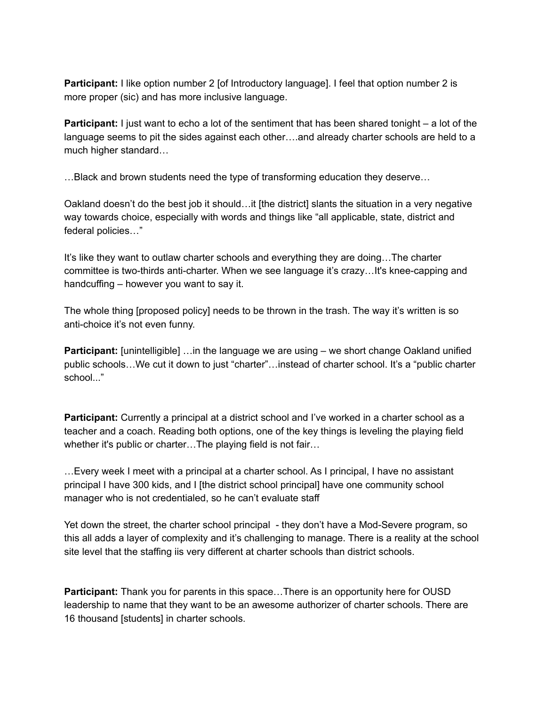**Participant:** I like option number 2 [of Introductory language]. I feel that option number 2 is more proper (sic) and has more inclusive language.

**Participant:** I just want to echo a lot of the sentiment that has been shared tonight – a lot of the language seems to pit the sides against each other….and already charter schools are held to a much higher standard…

…Black and brown students need the type of transforming education they deserve…

Oakland doesn't do the best job it should…it [the district] slants the situation in a very negative way towards choice, especially with words and things like "all applicable, state, district and federal policies…"

It's like they want to outlaw charter schools and everything they are doing…The charter committee is two-thirds anti-charter. When we see language it's crazy…It's knee-capping and handcuffing – however you want to say it.

The whole thing [proposed policy] needs to be thrown in the trash. The way it's written is so anti-choice it's not even funny.

**Participant:** [unintelligible] …in the language we are using – we short change Oakland unified public schools…We cut it down to just "charter"…instead of charter school. It's a "public charter school..."

**Participant:** Currently a principal at a district school and I've worked in a charter school as a teacher and a coach. Reading both options, one of the key things is leveling the playing field whether it's public or charter…The playing field is not fair…

…Every week I meet with a principal at a charter school. As I principal, I have no assistant principal I have 300 kids, and I [the district school principal] have one community school manager who is not credentialed, so he can't evaluate staff

Yet down the street, the charter school principal - they don't have a Mod-Severe program, so this all adds a layer of complexity and it's challenging to manage. There is a reality at the school site level that the staffing iis very different at charter schools than district schools.

**Participant:** Thank you for parents in this space…There is an opportunity here for OUSD leadership to name that they want to be an awesome authorizer of charter schools. There are 16 thousand [students] in charter schools.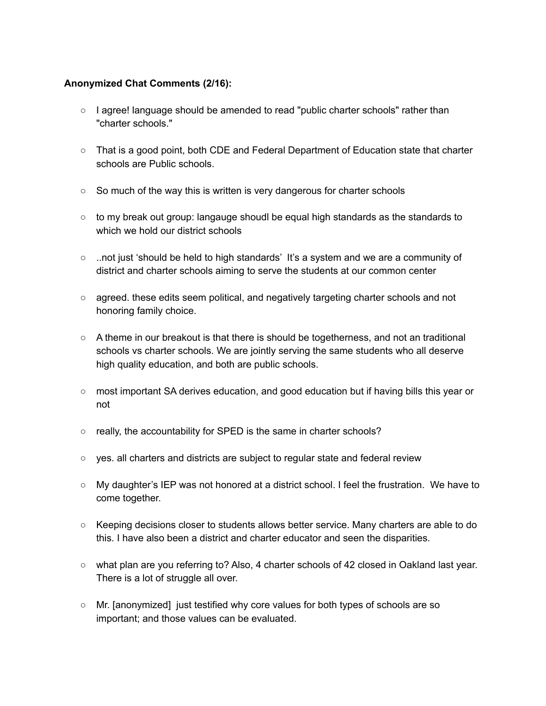### **Anonymized Chat Comments (2/16):**

- I agree! language should be amended to read "public charter schools" rather than "charter schools."
- That is a good point, both CDE and Federal Department of Education state that charter schools are Public schools.
- So much of the way this is written is very dangerous for charter schools
- $\circ$  to my break out group: langauge shoudl be equal high standards as the standards to which we hold our district schools
- ..not just 'should be held to high standards' It's a system and we are a community of district and charter schools aiming to serve the students at our common center
- agreed. these edits seem political, and negatively targeting charter schools and not honoring family choice.
- A theme in our breakout is that there is should be togetherness, and not an traditional schools vs charter schools. We are jointly serving the same students who all deserve high quality education, and both are public schools.
- most important SA derives education, and good education but if having bills this year or not
- really, the accountability for SPED is the same in charter schools?
- yes. all charters and districts are subject to regular state and federal review
- My daughter's IEP was not honored at a district school. I feel the frustration. We have to come together.
- Keeping decisions closer to students allows better service. Many charters are able to do this. I have also been a district and charter educator and seen the disparities.
- what plan are you referring to? Also, 4 charter schools of 42 closed in Oakland last year. There is a lot of struggle all over.
- Mr. [anonymized] just testified why core values for both types of schools are so important; and those values can be evaluated.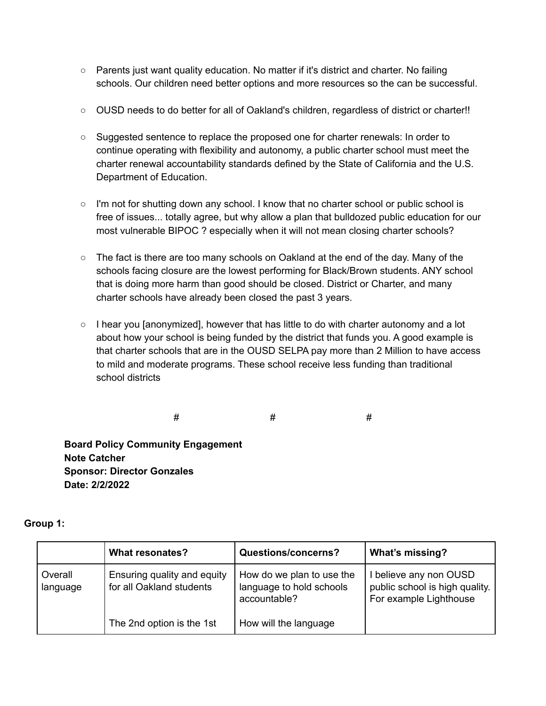- Parents just want quality education. No matter if it's district and charter. No failing schools. Our children need better options and more resources so the can be successful.
- OUSD needs to do better for all of Oakland's children, regardless of district or charter!!
- Suggested sentence to replace the proposed one for charter renewals: In order to continue operating with flexibility and autonomy, a public charter school must meet the charter renewal accountability standards defined by the State of California and the U.S. Department of Education.
- I'm not for shutting down any school. I know that no charter school or public school is free of issues... totally agree, but why allow a plan that bulldozed public education for our most vulnerable BIPOC ? especially when it will not mean closing charter schools?
- $\circ$  The fact is there are too many schools on Oakland at the end of the day. Many of the schools facing closure are the lowest performing for Black/Brown students. ANY school that is doing more harm than good should be closed. District or Charter, and many charter schools have already been closed the past 3 years.
- $\circ$  I hear you [anonymized], however that has little to do with charter autonomy and a lot about how your school is being funded by the district that funds you. A good example is that charter schools that are in the OUSD SELPA pay more than 2 Million to have access to mild and moderate programs. These school receive less funding than traditional school districts

# # #

**Board Policy Community Engagement Note Catcher Sponsor: Director Gonzales Date: 2/2/2022**

|                     | <b>What resonates?</b>                                  | <b>Questions/concerns?</b>                                            | What's missing?                                                                    |
|---------------------|---------------------------------------------------------|-----------------------------------------------------------------------|------------------------------------------------------------------------------------|
| Overall<br>language | Ensuring quality and equity<br>for all Oakland students | How do we plan to use the<br>language to hold schools<br>accountable? | I believe any non OUSD<br>public school is high quality.<br>For example Lighthouse |
|                     | The 2nd option is the 1st                               | How will the language                                                 |                                                                                    |

### **Group 1:**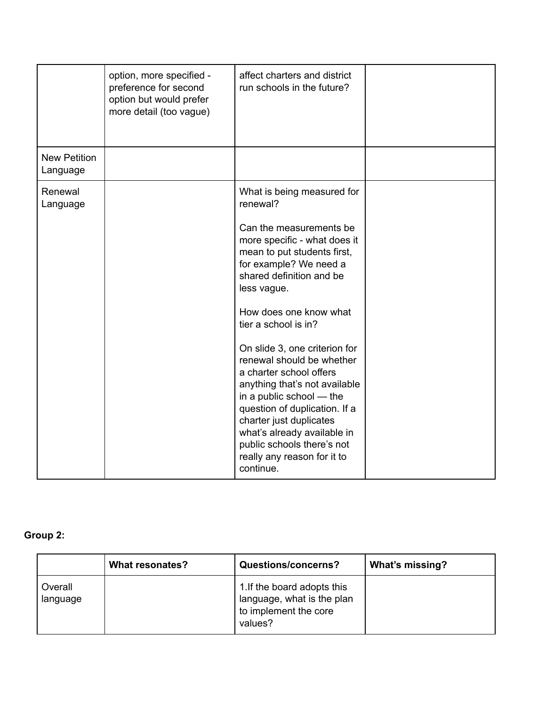|                                 | option, more specified -<br>preference for second<br>option but would prefer<br>more detail (too vague) | affect charters and district<br>run schools in the future?                                                                                                                                                                                                                                                                                                                                                                                                                                                                                                                         |  |
|---------------------------------|---------------------------------------------------------------------------------------------------------|------------------------------------------------------------------------------------------------------------------------------------------------------------------------------------------------------------------------------------------------------------------------------------------------------------------------------------------------------------------------------------------------------------------------------------------------------------------------------------------------------------------------------------------------------------------------------------|--|
| <b>New Petition</b><br>Language |                                                                                                         |                                                                                                                                                                                                                                                                                                                                                                                                                                                                                                                                                                                    |  |
| Renewal<br>Language             |                                                                                                         | What is being measured for<br>renewal?<br>Can the measurements be<br>more specific - what does it<br>mean to put students first,<br>for example? We need a<br>shared definition and be<br>less vague.<br>How does one know what<br>tier a school is in?<br>On slide 3, one criterion for<br>renewal should be whether<br>a charter school offers<br>anything that's not available<br>in a public school — the<br>question of duplication. If a<br>charter just duplicates<br>what's already available in<br>public schools there's not<br>really any reason for it to<br>continue. |  |

# **Group 2:**

|                     | <b>What resonates?</b> | <b>Questions/concerns?</b>                                                                    | <b>What's missing?</b> |
|---------------------|------------------------|-----------------------------------------------------------------------------------------------|------------------------|
| Overall<br>language |                        | 1. If the board adopts this<br>language, what is the plan<br>to implement the core<br>values? |                        |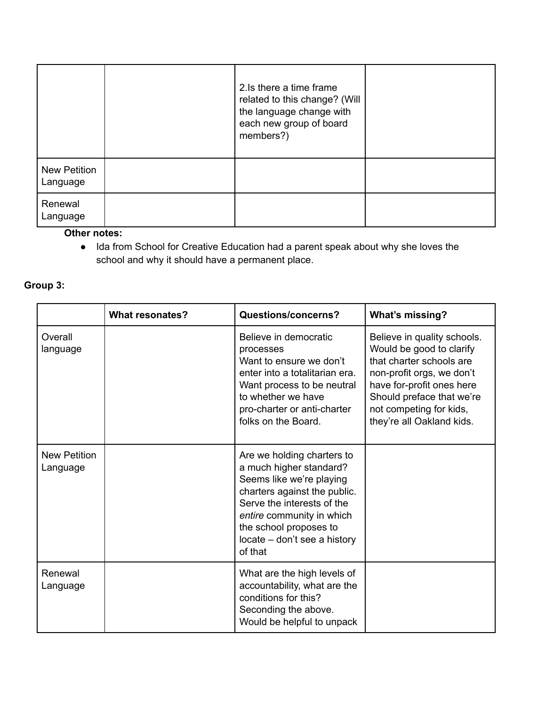|                                 | 2. Is there a time frame<br>related to this change? (Will<br>the language change with<br>each new group of board<br>members?) |  |
|---------------------------------|-------------------------------------------------------------------------------------------------------------------------------|--|
| <b>New Petition</b><br>Language |                                                                                                                               |  |
| Renewal<br>Language             |                                                                                                                               |  |

### **Other notes:**

● Ida from School for Creative Education had a parent speak about why she loves the school and why it should have a permanent place.

# **Group 3:**

|                                 | <b>What resonates?</b> | Questions/concerns?                                                                                                                                                                                                                               | <b>What's missing?</b>                                                                                                                                                                                                             |
|---------------------------------|------------------------|---------------------------------------------------------------------------------------------------------------------------------------------------------------------------------------------------------------------------------------------------|------------------------------------------------------------------------------------------------------------------------------------------------------------------------------------------------------------------------------------|
| Overall<br>language             |                        | Believe in democratic<br>processes<br>Want to ensure we don't<br>enter into a totalitarian era.<br>Want process to be neutral<br>to whether we have<br>pro-charter or anti-charter<br>folks on the Board.                                         | Believe in quality schools.<br>Would be good to clarify<br>that charter schools are<br>non-profit orgs, we don't<br>have for-profit ones here<br>Should preface that we're<br>not competing for kids,<br>they're all Oakland kids. |
| <b>New Petition</b><br>Language |                        | Are we holding charters to<br>a much higher standard?<br>Seems like we're playing<br>charters against the public.<br>Serve the interests of the<br>entire community in which<br>the school proposes to<br>locate – don't see a history<br>of that |                                                                                                                                                                                                                                    |
| Renewal<br>Language             |                        | What are the high levels of<br>accountability, what are the<br>conditions for this?<br>Seconding the above.<br>Would be helpful to unpack                                                                                                         |                                                                                                                                                                                                                                    |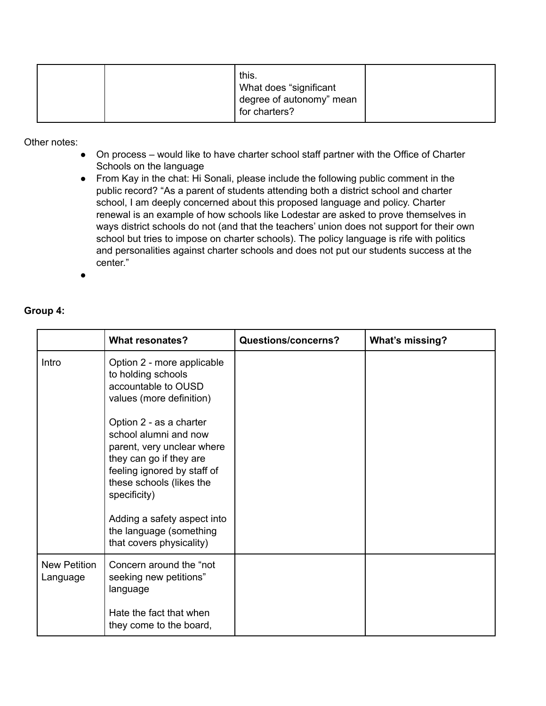Other notes:

- On process would like to have charter school staff partner with the Office of Charter Schools on the language
- From Kay in the chat: Hi Sonali, please include the following public comment in the public record? "As a parent of students attending both a district school and charter school, I am deeply concerned about this proposed language and policy. Charter renewal is an example of how schools like Lodestar are asked to prove themselves in ways district schools do not (and that the teachers' union does not support for their own school but tries to impose on charter schools). The policy language is rife with politics and personalities against charter schools and does not put our students success at the center."

●

### **Group 4:**

|                                 | <b>What resonates?</b>                                                                                                                                                               | <b>Questions/concerns?</b> | <b>What's missing?</b> |
|---------------------------------|--------------------------------------------------------------------------------------------------------------------------------------------------------------------------------------|----------------------------|------------------------|
| Intro                           | Option 2 - more applicable<br>to holding schools<br>accountable to OUSD<br>values (more definition)                                                                                  |                            |                        |
|                                 | Option 2 - as a charter<br>school alumni and now<br>parent, very unclear where<br>they can go if they are<br>feeling ignored by staff of<br>these schools (likes the<br>specificity) |                            |                        |
|                                 | Adding a safety aspect into<br>the language (something<br>that covers physicality)                                                                                                   |                            |                        |
| <b>New Petition</b><br>Language | Concern around the "not<br>seeking new petitions"<br>language                                                                                                                        |                            |                        |
|                                 | Hate the fact that when<br>they come to the board,                                                                                                                                   |                            |                        |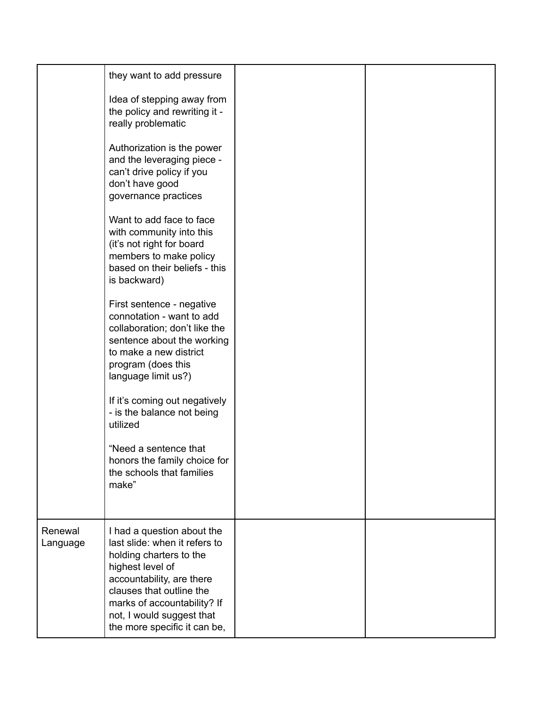|                     | they want to add pressure                                                                                                                                                                                                                                       |  |
|---------------------|-----------------------------------------------------------------------------------------------------------------------------------------------------------------------------------------------------------------------------------------------------------------|--|
|                     | Idea of stepping away from<br>the policy and rewriting it -<br>really problematic                                                                                                                                                                               |  |
|                     | Authorization is the power<br>and the leveraging piece -<br>can't drive policy if you<br>don't have good<br>governance practices                                                                                                                                |  |
|                     | Want to add face to face<br>with community into this<br>(it's not right for board<br>members to make policy<br>based on their beliefs - this<br>is backward)                                                                                                    |  |
|                     | First sentence - negative<br>connotation - want to add<br>collaboration; don't like the<br>sentence about the working<br>to make a new district<br>program (does this<br>language limit us?)                                                                    |  |
|                     | If it's coming out negatively<br>- is the balance not being<br>utilized                                                                                                                                                                                         |  |
|                     | "Need a sentence that<br>honors the family choice for<br>the schools that families<br>make"                                                                                                                                                                     |  |
| Renewal<br>Language | I had a question about the<br>last slide: when it refers to<br>holding charters to the<br>highest level of<br>accountability, are there<br>clauses that outline the<br>marks of accountability? If<br>not, I would suggest that<br>the more specific it can be, |  |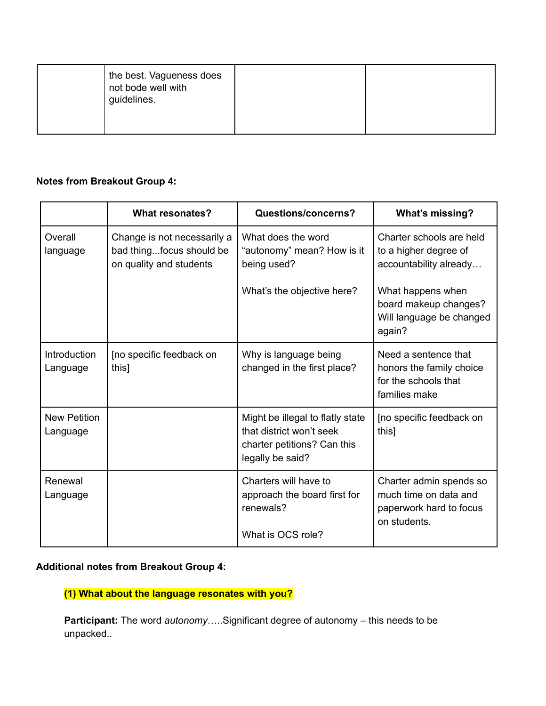| the best. Vagueness does<br>not bode well with<br>guidelines. |  |
|---------------------------------------------------------------|--|
|                                                               |  |

## **Notes from Breakout Group 4:**

|                                 | <b>What resonates?</b>                                                             | Questions/concerns?                                                                                             | What's missing?                                                                             |
|---------------------------------|------------------------------------------------------------------------------------|-----------------------------------------------------------------------------------------------------------------|---------------------------------------------------------------------------------------------|
| Overall<br>language             | Change is not necessarily a<br>bad thingfocus should be<br>on quality and students | What does the word<br>"autonomy" mean? How is it<br>being used?                                                 | Charter schools are held<br>to a higher degree of<br>accountability already                 |
|                                 |                                                                                    | What's the objective here?                                                                                      | What happens when<br>board makeup changes?<br>Will language be changed<br>again?            |
| Introduction<br>Language        | [no specific feedback on<br>this]                                                  | Why is language being<br>changed in the first place?                                                            | Need a sentence that<br>honors the family choice<br>for the schools that<br>families make   |
| <b>New Petition</b><br>Language |                                                                                    | Might be illegal to flatly state<br>that district won't seek<br>charter petitions? Can this<br>legally be said? | [no specific feedback on<br>this]                                                           |
| Renewal<br>Language             |                                                                                    | Charters will have to<br>approach the board first for<br>renewals?<br>What is OCS role?                         | Charter admin spends so<br>much time on data and<br>paperwork hard to focus<br>on students. |

# **Additional notes from Breakout Group 4:**

**(1) What about the language resonates with you?**

**Participant:** The word *autonomy*…..Significant degree of autonomy – this needs to be unpacked..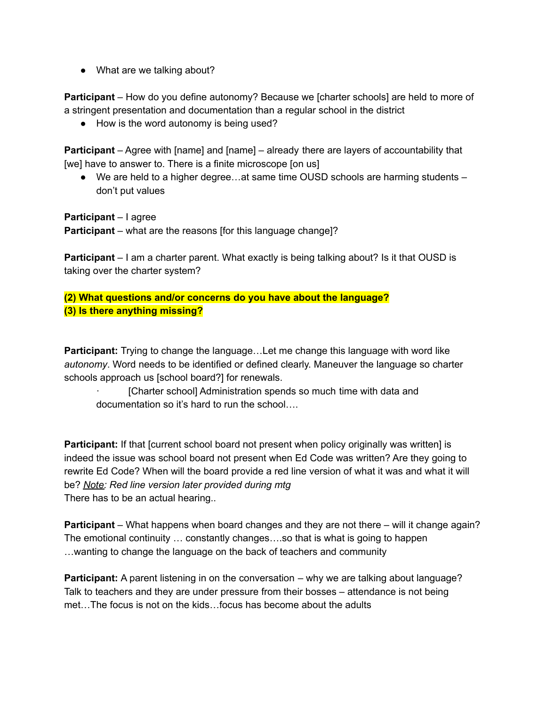• What are we talking about?

**Participant** – How do you define autonomy? Because we [charter schools] are held to more of a stringent presentation and documentation than a regular school in the district

● How is the word autonomy is being used?

**Participant** – Agree with [name] and [name] – already there are layers of accountability that [we] have to answer to. There is a finite microscope [on us]

● We are held to a higher degree...at same time OUSD schools are harming students – don't put values

**Participant** – I agree **Participant** – what are the reasons [for this language change]?

**Participant** – I am a charter parent. What exactly is being talking about? Is it that OUSD is taking over the charter system?

**(2) What questions and/or concerns do you have about the language? (3) Is there anything missing?**

**Participant:** Trying to change the language…Let me change this language with word like *autonomy*. Word needs to be identified or defined clearly. Maneuver the language so charter schools approach us [school board?] for renewals.

[Charter school] Administration spends so much time with data and documentation so it's hard to run the school….

**Participant:** If that [current school board not present when policy originally was written] is indeed the issue was school board not present when Ed Code was written? Are they going to rewrite Ed Code? When will the board provide a red line version of what it was and what it will be? *Note: Red line version later provided during mtg* There has to be an actual hearing..

**Participant** – What happens when board changes and they are not there – will it change again? The emotional continuity … constantly changes….so that is what is going to happen …wanting to change the language on the back of teachers and community

**Participant:** A parent listening in on the conversation – why we are talking about language? Talk to teachers and they are under pressure from their bosses – attendance is not being met…The focus is not on the kids…focus has become about the adults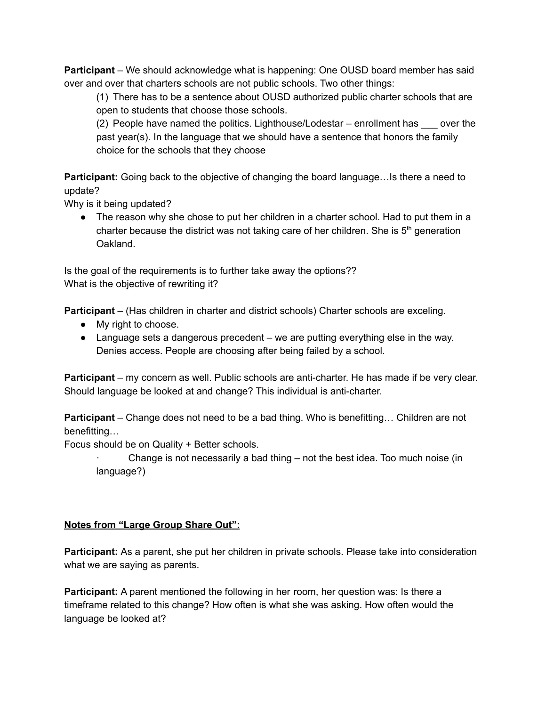**Participant** – We should acknowledge what is happening: One OUSD board member has said over and over that charters schools are not public schools. Two other things:

(1) There has to be a sentence about OUSD authorized public charter schools that are open to students that choose those schools.

(2) People have named the politics. Lighthouse/Lodestar – enrollment has \_\_\_ over the past year(s). In the language that we should have a sentence that honors the family choice for the schools that they choose

**Participant:** Going back to the objective of changing the board language...Is there a need to update?

Why is it being updated?

• The reason why she chose to put her children in a charter school. Had to put them in a charter because the district was not taking care of her children. She is  $5<sup>th</sup>$  generation Oakland.

Is the goal of the requirements is to further take away the options?? What is the objective of rewriting it?

**Participant** – (Has children in charter and district schools) Charter schools are exceling.

- My right to choose.
- Language sets a dangerous precedent we are putting everything else in the way. Denies access. People are choosing after being failed by a school.

**Participant** – my concern as well. Public schools are anti-charter. He has made if be very clear. Should language be looked at and change? This individual is anti-charter.

**Participant** – Change does not need to be a bad thing. Who is benefitting… Children are not benefitting…

Focus should be on Quality + Better schools.

Change is not necessarily a bad thing  $-$  not the best idea. Too much noise (in language?)

### **Notes from "Large Group Share Out":**

**Participant:** As a parent, she put her children in private schools. Please take into consideration what we are saying as parents.

**Participant:** A parent mentioned the following in her room, her question was: Is there a timeframe related to this change? How often is what she was asking. How often would the language be looked at?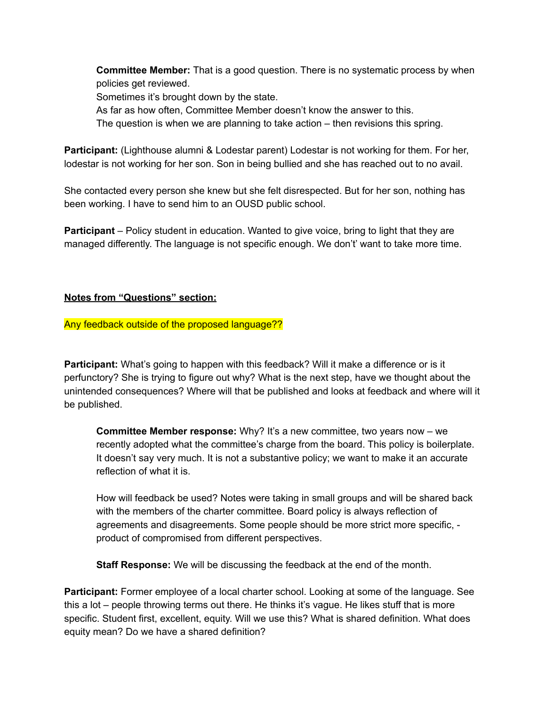**Committee Member:** That is a good question. There is no systematic process by when policies get reviewed.

Sometimes it's brought down by the state.

As far as how often, Committee Member doesn't know the answer to this.

The question is when we are planning to take action – then revisions this spring.

**Participant:** (Lighthouse alumni & Lodestar parent) Lodestar is not working for them. For her, lodestar is not working for her son. Son in being bullied and she has reached out to no avail.

She contacted every person she knew but she felt disrespected. But for her son, nothing has been working. I have to send him to an OUSD public school.

**Participant** – Policy student in education. Wanted to give voice, bring to light that they are managed differently. The language is not specific enough. We don't' want to take more time.

### **Notes from "Questions" section:**

### Any feedback outside of the proposed language??

**Participant:** What's going to happen with this feedback? Will it make a difference or is it perfunctory? She is trying to figure out why? What is the next step, have we thought about the unintended consequences? Where will that be published and looks at feedback and where will it be published.

**Committee Member response:** Why? It's a new committee, two years now – we recently adopted what the committee's charge from the board. This policy is boilerplate. It doesn't say very much. It is not a substantive policy; we want to make it an accurate reflection of what it is.

How will feedback be used? Notes were taking in small groups and will be shared back with the members of the charter committee. Board policy is always reflection of agreements and disagreements. Some people should be more strict more specific, product of compromised from different perspectives.

**Staff Response:** We will be discussing the feedback at the end of the month.

**Participant:** Former employee of a local charter school. Looking at some of the language. See this a lot – people throwing terms out there. He thinks it's vague. He likes stuff that is more specific. Student first, excellent, equity. Will we use this? What is shared definition. What does equity mean? Do we have a shared definition?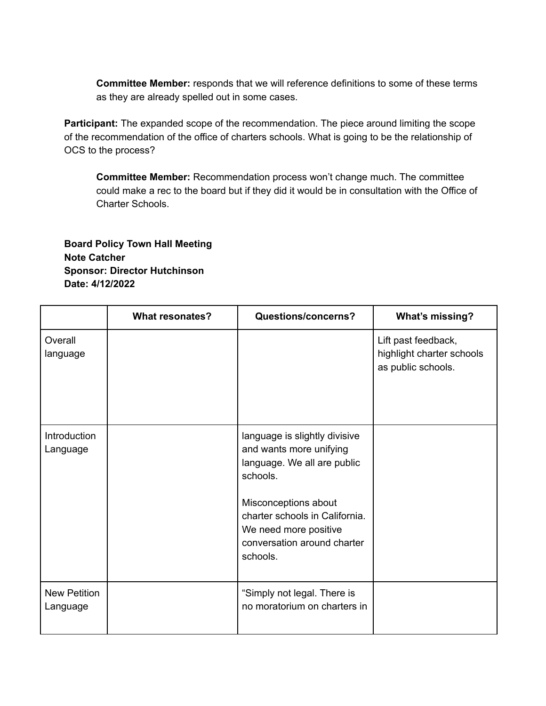**Committee Member:** responds that we will reference definitions to some of these terms as they are already spelled out in some cases.

**Participant:** The expanded scope of the recommendation. The piece around limiting the scope of the recommendation of the office of charters schools. What is going to be the relationship of OCS to the process?

**Committee Member:** Recommendation process won't change much. The committee could make a rec to the board but if they did it would be in consultation with the Office of Charter Schools.

**Board Policy Town Hall Meeting Note Catcher Sponsor: Director Hutchinson Date: 4/12/2022**

|                                 | <b>What resonates?</b> | Questions/concerns?                                                                                                                                                                                                               | What's missing?                                                        |
|---------------------------------|------------------------|-----------------------------------------------------------------------------------------------------------------------------------------------------------------------------------------------------------------------------------|------------------------------------------------------------------------|
| Overall<br>language             |                        |                                                                                                                                                                                                                                   | Lift past feedback,<br>highlight charter schools<br>as public schools. |
| Introduction<br>Language        |                        | language is slightly divisive<br>and wants more unifying<br>language. We all are public<br>schools.<br>Misconceptions about<br>charter schools in California.<br>We need more positive<br>conversation around charter<br>schools. |                                                                        |
| <b>New Petition</b><br>Language |                        | "Simply not legal. There is<br>no moratorium on charters in                                                                                                                                                                       |                                                                        |